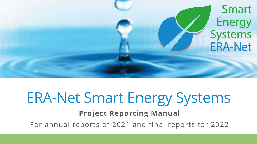

# ERA-Net Smart Energy Systems

**Project Reporting Manual**

For annual reports of 2021 and final reports for 2022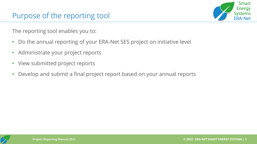

The reporting tool enables you to:

- Do the annual reporting of your ERA-Net SES project on initiative level
- Administrate your project reports
- View submitted project reports
- Develop and submit a final project report based on your annual reports

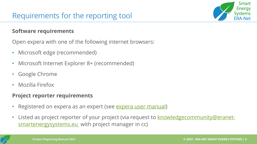#### **Software requirements**

Open expera with one of the following internet browsers:

- Microsoft edge (recommended)
- Microsoft Internet Explorer 8+ (recommended)
- Google Chrome
- Mozilla Firefox

#### **Project reporter requirements**

- Registered on expera as an expert (see [expera user manual](https://expera.smartgridsplus.eu/_layouts/15/help.aspx?Lcid=1033&Key=WSSEndUser&ShowNav=true))
- [Listed as project reporter of your project \(via request to knowledgecommunity@eranet](mailto:knowledgecommunity@eranet-smartenergysystems.eu)smartenergysystems.eu with project manager in cc)



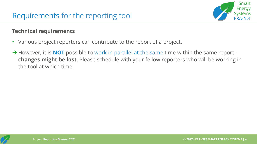

#### **Technical requirements**

- Various project reporters can contribute to the report of a project.
- →However, it is **NOT** possible to work in parallel at the same time within the same report **changes might be lost**. Please schedule with your fellow reporters who will be working in the tool at which time.

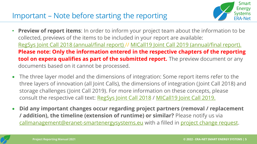#### Important – Note before starting the reporting



- **Preview of report items**: In order to inform your project team about the information to be collected, previews of the items to be included in your report are available: [RegSys Joint Call 2018 \(annual/final report\) /](https://www.eranet-smartenergysystems.eu/global/images/cms/project%20reporting/JC2018_reporting_template.pdf)/ [MICall19 Joint Call 2019 \(annual/final report\).](https://www.eranet-smartenergysystems.eu/global/images/cms/project%20reporting/JC2019_reporting_template.pdf) **Please note: Only the information entered in the respective chapters of the reporting tool on expera qualifies as part of the submitted report.** The preview document or any documents based on it cannot be processed.
- The three layer model and the dimensions of integration: Some report items refer to the three layers of innovation (all Joint Calls), the dimensions of integration (Joint Call 2018) and storage challenges (Joint Call 2019). For more information on these concepts, please consult the respective call text: [RegSys Joint Call 2018](https://eranet-smartenergysystems.eu/Calls/Regsys_Calls/RegSYS_Joint_Call_2018) / [MICall19 Joint Call 2019.](https://eranet-smartenergysystems.eu/Calls/SG_Plus_Calls/SG_Joint_Call_2019)
- **Did any important changes occur regarding project partners (removal / replacement / addition), the timeline (extension of runtime) or similar?** Please notify us via [callmanagement@eranet-smartenergysystems.eu](mailto:callmanagement@eranet-smartenergysystems.eu) with a filled in [project change request.](https://eranet-smartenergysystems.eu/global/images/cms/Content/Downloads/Downloads%20for%20funded%20projects/ERANetSES_-_Project_Change_Request.docx)

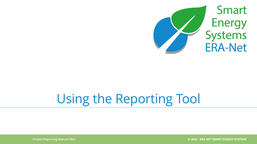

# Using the Reporting Tool

**Project Reporting Manual 2021 © 2022 - ERA-NET SMART ENERGY SYSTEMS**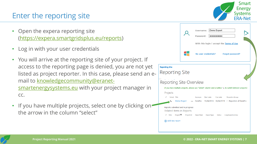#### Enter the reporting site

- Open the expera reporting site (<https://expera.smartgridsplus.eu/reports>)
- Log in with your user credentials
- You will arrive at the reporting site of your project. If access to the reporting page is denied, you are not yet listed as project reporter. In this case, please send an e[mail to knowledgecommunity@eranet](mailto:knowledgecommunity@eranet-smartenergysystems.eu)smartenergysystems.eu with your project manager in cc.
- If you have multiple projects, select one by clicking on the arrow in the column "select"



Smart

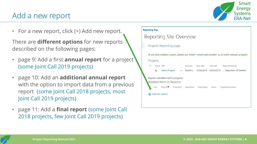#### Add a new report



• For a new report, click (+) Add new report.

There are **different options** for new reports described on the following pages:

- page 9: Add a first **annual report** for a project (some Joint Call 2019 projects)
- page 10: Add an **additional annual report**  with the option to import data from a previous report (some Joint Call 2018 projects, most Joint Call 2019 projects)
- page 11: Add a **final report** (some Joint Call 2018 projects, few Joint Call 2019 projects)

#### **Reporting Site**

| Reporting Site Overview                                                                                         |                         |            |            |          |                                             |  |
|-----------------------------------------------------------------------------------------------------------------|-------------------------|------------|------------|----------|---------------------------------------------|--|
|                                                                                                                 | Projects Reporting page |            |            |          |                                             |  |
| (if you have multiple projects, please use "Select" column and a button $E_{\rm M}$ to switch between projects) |                         |            |            |          |                                             |  |
| Projects                                                                                                        |                         |            |            |          |                                             |  |
| Select Title<br>$\checkmark$                                                                                    |                         | Acronym    | Start date | End date | ReportersGroup                              |  |
| Demo Project  DemPro<br>ĸ,                                                                                      |                         |            |            |          | 15/04/2016 30/04/2019 □ Reporters of DemPro |  |
| Reports submitted and in progress:<br>Related Items in Reports                                                  |                         |            |            |          |                                             |  |
| Project <sup>V</sup><br>Title                                                                                   | Project:ID              | ReportYear | ReportType | Status   | CopyReportAsNew                             |  |
| Add new report                                                                                                  |                         |            |            |          |                                             |  |

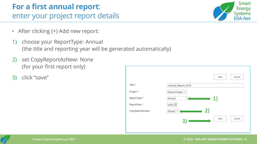### **For a first annual report**: enter your project report details

- After clicking (+) Add new report:
- 1) choose your ReportType: Annual (the title and reporting year will be generated automatically)
- 2) set CopyReportAsNew: None (for your first report only)
- 3) click "save"



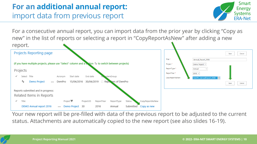### **For an additional annual report:** import data from previous report



For a consecutive annual report, you can import data from the prior year by clicking "Copy as new" in the list of reports or selecting a report in "CopyReportAsNew" after adding a new



Your new report will be pre-filled with data of the previous report to be adjusted to the current status. Attachments are automatically copied to the new report (see also slides 16-19).

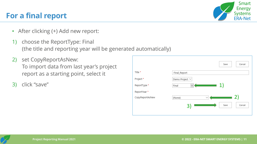#### **For a final report**

- After clicking (+) Add new report:
- 1) choose the ReportType: Final (the title and reporting year will be generated automatically)
- 2) set CopyReportAsNew: To import data from last year's project report as a starting point, select it
- 3) click "save"



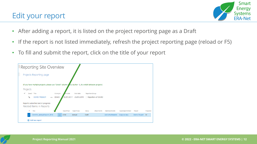#### Edit your report



- After adding a report, it is listed on the project reporting page as a Draft
- If the report is not listed immediately, refresh the project reporting page (reload or F5)
- To fill and submit the report, click on the title of your report



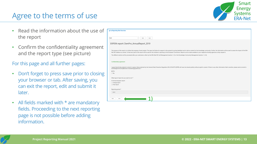#### Agree to the terms of use



- Read the information about the use of the report
- Confirm the confidentiality agreement and the report type (see picture)

For this page and all further pages:

- Don't forget to press save prior to closing your browser or tab. After saving, you can exit the report, edit and submit it later.
- All fields marked with  $*$  are mandatory fields. Proceeding to the next reporting page is not possible before adding information.

| go to Reporting Site Overview |                                                                                                                                                                                                                                                                                                                                                                                                                                                                 |
|-------------------------------|-----------------------------------------------------------------------------------------------------------------------------------------------------------------------------------------------------------------------------------------------------------------------------------------------------------------------------------------------------------------------------------------------------------------------------------------------------------------|
| Start                         | $\checkmark$<br>Next<br>Save                                                                                                                                                                                                                                                                                                                                                                                                                                    |
|                               |                                                                                                                                                                                                                                                                                                                                                                                                                                                                 |
|                               | EXPERA report: DemPro_AnnualReport_2019                                                                                                                                                                                                                                                                                                                                                                                                                         |
|                               |                                                                                                                                                                                                                                                                                                                                                                                                                                                                 |
|                               | The purpose of this report is to follow the progress of each project. The report will allow for support to the projects by giving feedback and to derive content for the knowledge community. Further, the information will be<br>Net SES initiative as a whole. To that end, parts of the report will be used for the initiative's reporting to the European Commission. Reports can be made available to your respective funding agencies as they request it. |
|                               | The different sections will be processed after your submission, either by the ERA-Net SES Call Management (section 1-2) or the Knowledge Community Management (section 1, 4-6).                                                                                                                                                                                                                                                                                 |
|                               |                                                                                                                                                                                                                                                                                                                                                                                                                                                                 |
|                               | <b>Confidentiality agreement</b>                                                                                                                                                                                                                                                                                                                                                                                                                                |
|                               | I agree that all data entered is stored in expera. Data protected by the General Data Protection Regulation (EU) 2016/679 (GDPR) will never be shared publicly without explicit consent. If there is any other information tha<br>knowledgecommunity@eranet-smartenergysystems.eu *                                                                                                                                                                             |
| O Yes                         |                                                                                                                                                                                                                                                                                                                                                                                                                                                                 |
| $\bigcirc$ No                 |                                                                                                                                                                                                                                                                                                                                                                                                                                                                 |
|                               | What type of report do you want to do? *                                                                                                                                                                                                                                                                                                                                                                                                                        |
| Change report                 | · Annual progress report                                                                                                                                                                                                                                                                                                                                                                                                                                        |
| ◯ Final report                |                                                                                                                                                                                                                                                                                                                                                                                                                                                                 |
| Reporting period *            |                                                                                                                                                                                                                                                                                                                                                                                                                                                                 |
| 2019                          |                                                                                                                                                                                                                                                                                                                                                                                                                                                                 |
|                               |                                                                                                                                                                                                                                                                                                                                                                                                                                                                 |
| Next                          | Save                                                                                                                                                                                                                                                                                                                                                                                                                                                            |
|                               |                                                                                                                                                                                                                                                                                                                                                                                                                                                                 |

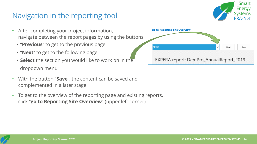

### Navigation in the reporting tool

- After completing your project information, navigate between the report pages by using the buttons
	- "**Previous**" to get to the previous page
	- "**Next**" to get to the following page
	- **Select** the section you would like to work on in the dropdown menu
- With the button "**Save**", the content can be saved and complemented in a later stage
- To get to the overview of the reporting page and existing reports, click "**go to Reporting Site Overview**" (upper left corner)



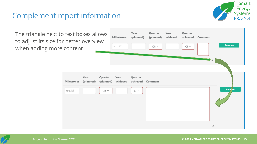#### Complement report information



The triangle next to text boxes allows to adjust its size for better overview when adding more content



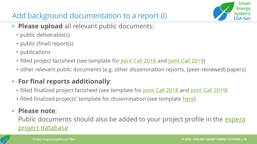## Add background documentation to a report (I)

Smart Energy Svstems

- **Please upload** all relevant public documents:
	- public deliverable(s)
	- public (final) report(s)
	- publications
	- filled project factsheet (see template for [Joint Call 2018](https://view.officeapps.live.com/op/view.aspx?src=https%3A%2F%2Fwww.eranet-smartenergysystems.eu%2Fglobal%2Fimages%2Fcms%2Fproject%2520reporting%2FFactsheets%2FERANetSES_Template_ProjectFactSheet_RegSys2018.docx&wdOrigin=BROWSELINK) and [Joint Call 2019\)](https://view.officeapps.live.com/op/view.aspx?src=https%3A%2F%2Fwww.eranet-smartenergysystems.eu%2Fglobal%2Fimages%2Fcms%2Fproject%2520reporting%2FFactsheets%2FERANetSES_ProjectFactSheet_MICall19.docx.doc&wdOrigin=BROWSELINK)
	- other relevant public documents (e.g. other dissemination reports, (peer-reviewed) papers)

#### • **For final reports additionally**:

- filled finalized project factsheet (see template for <u>Joint Call 2018</u> and <u>Joint Call 2019</u>)
- filled finalized projects' template for dissemination (see template [here\)](https://view.officeapps.live.com/op/view.aspx?src=https%3A%2F%2Fwww.eranet-smartenergysystems.eu%2Fglobal%2Fimages%2Fcms%2Fproject%2520reporting%2FERA-NetSES_FinalProjectsTemplate_blank.pptx&wdOrigin=BROWSELINK)

#### • **Please note**:

[Public documents should also be added to your project profile in the expera](https://expera.smartgridsplus.eu/Navigable%20Site%20Pages/Projects.aspx) project database

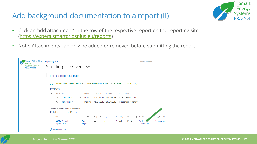### Add background documentation to a report (II)



- Click on 'add attachment' in the row of the respective report on the reporting site [\(https://expera.smartgridsplus.eu/reports](https://expera.smartgridsplus.eu/reports))
- Note: Attachments can only be added or removed before submitting the report

| <b>Smart Grids Plus</b><br><b>ERA-Net</b><br><b>Knowledge Community</b><br>expera | <b>Reporting Site</b><br>Reporting Site Overview                                                                  | Search this site                   |                                                |                                                        |  |
|-----------------------------------------------------------------------------------|-------------------------------------------------------------------------------------------------------------------|------------------------------------|------------------------------------------------|--------------------------------------------------------|--|
|                                                                                   | Projects Reporting page                                                                                           |                                    |                                                |                                                        |  |
|                                                                                   | (if you have multiple projects, please use "Select" column and a button <sup>15</sup> to switch between projects) |                                    |                                                |                                                        |  |
|                                                                                   |                                                                                                                   | Projects                           |                                                |                                                        |  |
|                                                                                   | Select Title<br>✓                                                                                                 | Start date<br>Acronym              | End date<br>ReportersGroup                     |                                                        |  |
|                                                                                   | 圈<br><b>DEMO PROJECT</b>                                                                                          | <b>DEMO</b><br>25/01/2017<br>0.0.0 | 24/01/2019<br>Reporters of DEMO                |                                                        |  |
|                                                                                   | 斥<br>Demo Project                                                                                                 | DemPro<br>$\cdots$                 | 30/04/2019 □ Reporters of DemPro<br>15/04/2016 |                                                        |  |
|                                                                                   | Reports submitted and in progress:<br>Related Items in Reports                                                    |                                    |                                                |                                                        |  |
|                                                                                   | $\checkmark$<br>Title                                                                                             | Project <sup>V</sup><br>Project:ID | ReportYear<br>ReportType                       | Ũ<br>AddAttachment<br>CopyReportAsNew<br><b>Status</b> |  |
|                                                                                   | <b>DEMO Annual</b><br>report 2016                                                                                 | 30<br>Demo<br>0.0.0<br>Project     | 2016<br>Annual                                 | <b>Draft</b><br>Add<br>Copy as new<br>attachments      |  |
|                                                                                   | (+) Add new report                                                                                                |                                    |                                                |                                                        |  |



**Project Reporting Manual 2021**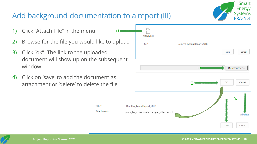### Add background documentation to a report (III)

Title<sup>\*</sup>

Attachments

 $1)$ 

- 1) Click "Attach File" in the menu
- 2) Browse for the file you would like to upload
- 3) Click "ok". The link to the uploaded document will show up on the subsequent window
- 4) Click on 'save' to add the document as attachment or 'delete' to delete the file





Smart

**Energy Systems ERA-Net**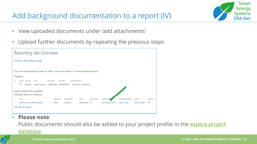### Add background documentation to a report (IV)



- View uploaded documents under 'add attachments'
- Upload further documents by repeating the previous steps

| Reporting Site Overview                                                                                                                         |                              |                  |                             |            |  |
|-------------------------------------------------------------------------------------------------------------------------------------------------|------------------------------|------------------|-----------------------------|------------|--|
| Projects Reporting page                                                                                                                         |                              |                  |                             |            |  |
| (if you have multiple projects, please use "Select" column and a button "in to switch between projects)<br>Projects                             |                              |                  |                             |            |  |
| Select Acronym<br>Title<br>Start date<br>End date<br>ReportersGroup<br>к,<br>DemPro<br>Demo Project 15/04/2016 30/04/2019 □ Reporters of DemPro |                              |                  |                             |            |  |
| Reports submitted and in progress:<br>Related Items in Reports                                                                                  |                              |                  |                             |            |  |
| Title<br>✓<br>ReportYear<br>ReportType                                                                                                          | Attachments<br><b>Status</b> | AddAttachr       | CopyReportAsNew<br>Project  | Project:ID |  |
| 2018<br>DemPro_AnnualReport_2018<br>Annual<br>                                                                                                  | OJ<br>Submitted              | View attachments | Demo Project<br>Copy as new | 30         |  |
| Add new report                                                                                                                                  |                              |                  |                             |            |  |

• **Please note**:

Public documents should also be added to your project profile in the expera project database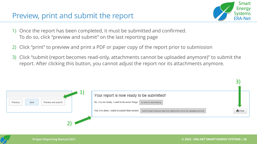#### Preview, print and submit the report



3)

- 1) Once the report has been completed, it must be submitted and confirmed. To do so, click "preview and submit" on the last reporting page
- 2) Click "print" to preview and print a PDF or paper copy of the report prior to submission
- 3) Click "submit (report becomes read-only, attachments cannot be uploaded anymore)" to submit the report. After clicking this button, you cannot adjust the report nor its attachments anymore.

| Previous<br>Preview and submit<br>Save | Your report is now ready to be submitted!<br>No, it is not ready, I want to fix some things<br>Go back to report editing     |                |  |
|----------------------------------------|------------------------------------------------------------------------------------------------------------------------------|----------------|--|
|                                        | Yes, it is done, I want to submit final version<br>Submit (report becomes read-only, attachments cannot be uploaded anymore) | <b>A</b> Print |  |
|                                        |                                                                                                                              |                |  |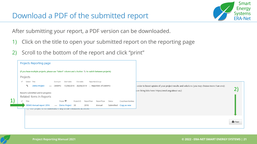

2)

**A** Print

After submitting your report, a PDF version can be downloaded.

- 1) Click on the title to open your submitted report on the reporting page
- 2) Scroll to the bottom of the report and click "print"

|    | Projects Reporting page                                                                                             |                                                                                             |
|----|---------------------------------------------------------------------------------------------------------------------|---------------------------------------------------------------------------------------------|
|    | (if you have multiple projects, please use "Select" column and a button $\frac{m}{2}$ to switch between projects)   |                                                                                             |
|    | Projects                                                                                                            |                                                                                             |
|    | End date<br>Select Title<br>Start date<br>ReportersGroup<br>$\checkmark$<br>Acronym                                 |                                                                                             |
|    | 5.<br>Demo Project<br>15/04/2016<br>30/04/2019 □ Reporters of DemPro<br>DemPro                                      | order to boost uptake of your project results and solutions (you may choose more than one): |
|    |                                                                                                                     | on living labs here: https://enoll.org/about-us/)                                           |
|    | Reports submitted and in progress:<br>Related Items in Reports                                                      |                                                                                             |
| 1) | Project <sup></sup><br>$\checkmark$<br>Title<br>Status<br>CopyReportAsNew<br>Project:ID<br>ReportYear<br>ReportType |                                                                                             |
|    | DEMO Annual report 2016<br>Demo Project 30<br>2016<br>Submitted Copy as new<br>Annual                               |                                                                                             |
|    | <u>of our project is not interested in any or the membried activities</u>                                           |                                                                                             |
|    |                                                                                                                     |                                                                                             |
|    |                                                                                                                     |                                                                                             |
|    |                                                                                                                     |                                                                                             |
|    |                                                                                                                     |                                                                                             |

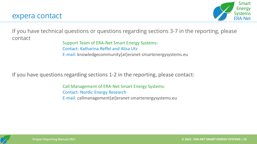

If you have technical questions or questions regarding sections 3-7 in the reporting, please contact

Support Team of ERA-Net Smart Energy Systems: Contact: Katharina Reffel and Alisa Utz E-mail: knowledgecommunity[at]eranet-smartenergysystems.eu

If you have questions regarding sections 1-2 in the reporting, please contact:

Call Management of ERA-Net Smart Energy Systems: Contact: Nordic Energy Research E-mail: callmanagement[at]eranet-smartenergysystems.eu